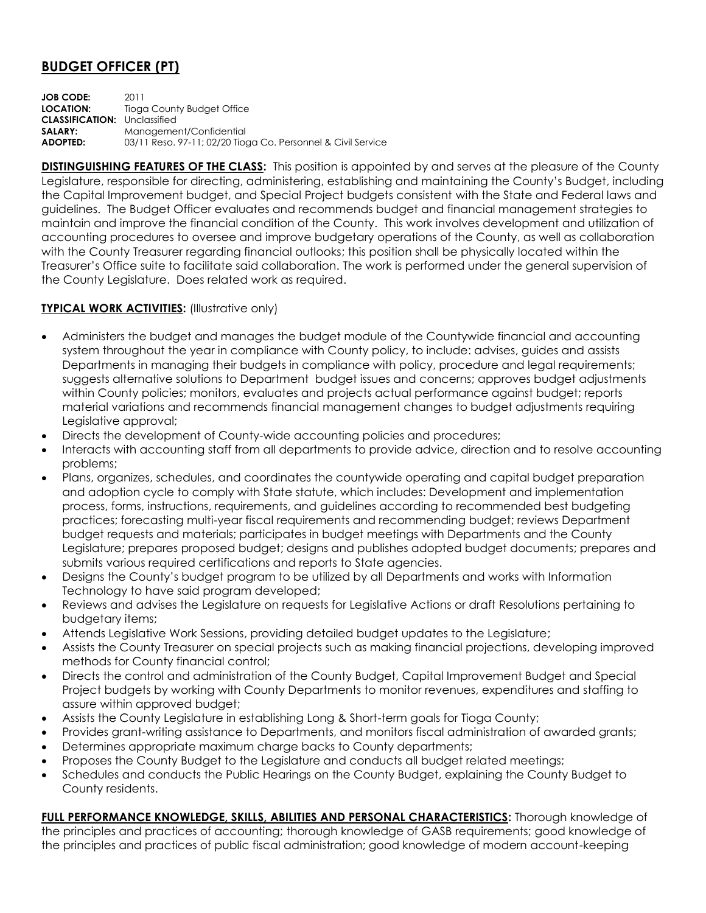## **BUDGET OFFICER (PT)**

**JOB CODE:** 2011 **LOCATION:** Tioga County Budget Office **CLASSIFICATION:** Unclassified **SALARY:** Management/Confidential **ADOPTED:** 03/11 Reso. 97-11; 02/20 Tioga Co. Personnel & Civil Service

**DISTINGUISHING FEATURES OF THE CLASS:** This position is appointed by and serves at the pleasure of the County Legislature, responsible for directing, administering, establishing and maintaining the County's Budget, including the Capital Improvement budget, and Special Project budgets consistent with the State and Federal laws and guidelines. The Budget Officer evaluates and recommends budget and financial management strategies to maintain and improve the financial condition of the County. This work involves development and utilization of accounting procedures to oversee and improve budgetary operations of the County, as well as collaboration with the County Treasurer regarding financial outlooks; this position shall be physically located within the Treasurer's Office suite to facilitate said collaboration. The work is performed under the general supervision of the County Legislature. Does related work as required.

## **TYPICAL WORK ACTIVITIES: (Illustrative only)**

- Administers the budget and manages the budget module of the Countywide financial and accounting system throughout the year in compliance with County policy, to include: advises, guides and assists Departments in managing their budgets in compliance with policy, procedure and legal requirements; suggests alternative solutions to Department budget issues and concerns; approves budget adjustments within County policies; monitors, evaluates and projects actual performance against budget; reports material variations and recommends financial management changes to budget adjustments requiring Legislative approval;
- Directs the development of County-wide accounting policies and procedures;
- Interacts with accounting staff from all departments to provide advice, direction and to resolve accounting problems;
- Plans, organizes, schedules, and coordinates the countywide operating and capital budget preparation and adoption cycle to comply with State statute, which includes: Development and implementation process, forms, instructions, requirements, and guidelines according to recommended best budgeting practices; forecasting multi-year fiscal requirements and recommending budget; reviews Department budget requests and materials; participates in budget meetings with Departments and the County Legislature; prepares proposed budget; designs and publishes adopted budget documents; prepares and submits various required certifications and reports to State agencies.
- Designs the County's budget program to be utilized by all Departments and works with Information Technology to have said program developed;
- Reviews and advises the Legislature on requests for Legislative Actions or draft Resolutions pertaining to budgetary items;
- Attends Legislative Work Sessions, providing detailed budget updates to the Legislature;
- Assists the County Treasurer on special projects such as making financial projections, developing improved methods for County financial control;
- Directs the control and administration of the County Budget, Capital Improvement Budget and Special Project budgets by working with County Departments to monitor revenues, expenditures and staffing to assure within approved budget;
- Assists the County Legislature in establishing Long & Short-term goals for Tioga County;
- Provides grant-writing assistance to Departments, and monitors fiscal administration of awarded grants;
- Determines appropriate maximum charge backs to County departments;
- Proposes the County Budget to the Legislature and conducts all budget related meetings;
- Schedules and conducts the Public Hearings on the County Budget, explaining the County Budget to County residents.

**FULL PERFORMANCE KNOWLEDGE, SKILLS, ABILITIES AND PERSONAL CHARACTERISTICS:** Thorough knowledge of the principles and practices of accounting; thorough knowledge of GASB requirements; good knowledge of the principles and practices of public fiscal administration; good knowledge of modern account-keeping